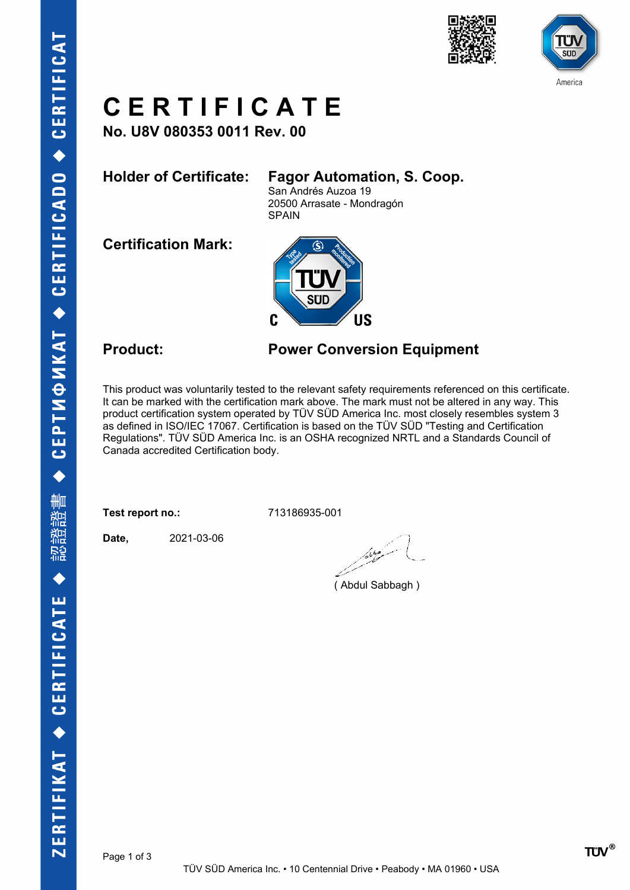

# America

### **C E R T I F I C A T E**

**No. U8V 080353 0011 Rev. 00**

### **Holder of Certificate: Fagor Automation, S. Coop.**

San Andrés Auzoa 19 20500 Arrasate - Mondragón SPAIN

**Certification Mark:**



### **Product: Power Conversion Equipment**

This product was voluntarily tested to the relevant safety requirements referenced on this certificate. It can be marked with the certification mark above. The mark must not be altered in any way. This product certification system operated by TÜV SÜD America Inc. most closely resembles system 3 as defined in ISO/IEC 17067. Certification is based on the TÜV SÜD "Testing and Certification Regulations". TÜV SÜD America Inc. is an OSHA recognized NRTL and a Standards Council of Canada accredited Certification body.

**Test report no.:** 713186935-001

**Date,** 2021-03-06

مسكر وداه

( Abdul Sabbagh )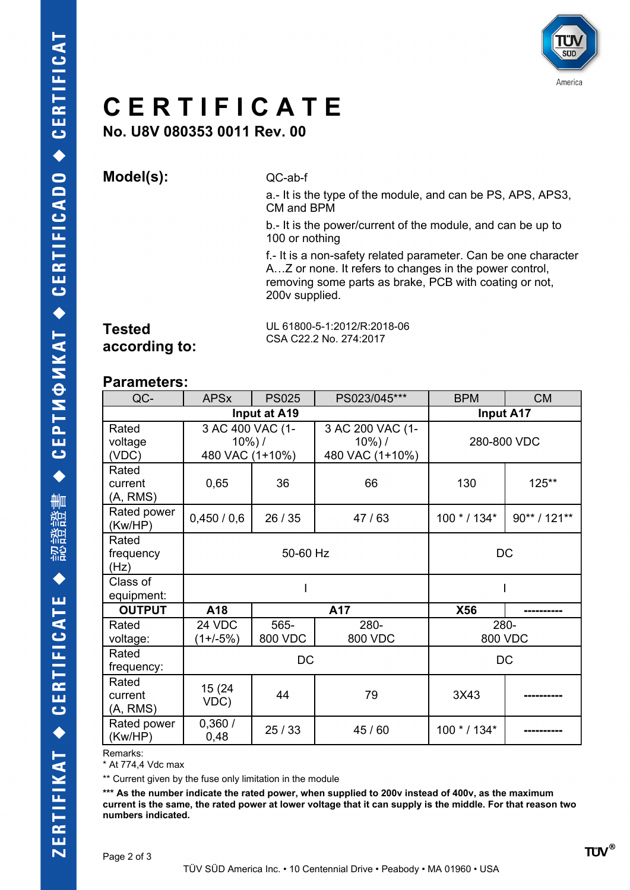

## **C E R T I F I C A T E**

**No. U8V 080353 0011 Rev. 00**

**Model(s):** QC-ab-f

a.- It is the type of the module, and can be PS, APS, APS3, CM and BPM

b.- It is the power/current of the module, and can be up to 100 or nothing

f.- It is a non-safety related parameter. Can be one character A…Z or none. It refers to changes in the power control, removing some parts as brake, PCB with coating or not, 200v supplied.

### **Tested according to:**

UL 61800-5-1:2012/R:2018-06 CSA C22.2 No. 274:2017

#### **Parameters:**

| QC-                          | <b>APSx</b>                                       | <b>PS025</b>    | PS023/045***                                      | <b>BPM</b>       | <b>CM</b>    |
|------------------------------|---------------------------------------------------|-----------------|---------------------------------------------------|------------------|--------------|
| Input at A19                 |                                                   |                 |                                                   | <b>Input A17</b> |              |
| Rated<br>voltage<br>(VDC)    | 3 AC 400 VAC (1-<br>$10\%$ ) /<br>480 VAC (1+10%) |                 | 3 AC 200 VAC (1-<br>$10\%$ ) /<br>480 VAC (1+10%) | 280-800 VDC      |              |
| Rated<br>current<br>(A, RMS) | 0,65                                              | 36              | 66                                                | 130              | 125**        |
| Rated power<br>(Kw/HP)       | 0,450/0,6                                         | 26 / 35         | 47/63                                             | $100 * / 134*$   | 90** / 121** |
| Rated<br>frequency<br>(Hz)   | 50-60 Hz                                          |                 |                                                   | DC               |              |
| Class of<br>equipment:       |                                                   |                 |                                                   |                  |              |
| <b>OUTPUT</b>                | A18                                               | A17             |                                                   | X56              |              |
| Rated<br>voltage:            | 24 VDC<br>$(1 + (-5%)$                            | 565-<br>800 VDC | 280-<br>800 VDC                                   | 280-<br>800 VDC  |              |
| Rated<br>frequency:          | DC                                                |                 |                                                   | DC               |              |
| Rated<br>current<br>(A, RMS) | 15 (24)<br>VDC)                                   | 44              | 79                                                | 3X43             |              |
| Rated power<br>(Kw/HP)       | 0,360/<br>0,48                                    | 25/33           | 45 / 60                                           | 100 * / 134*     |              |

Remarks:

\* At 774,4 Vdc max

\*\* Current given by the fuse only limitation in the module

**\*\*\* As the number indicate the rated power, when supplied to 200v instead of 400v, as the maximum current is the same, the rated power at lower voltage that it can supply is the middle. For that reason two numbers indicated.**